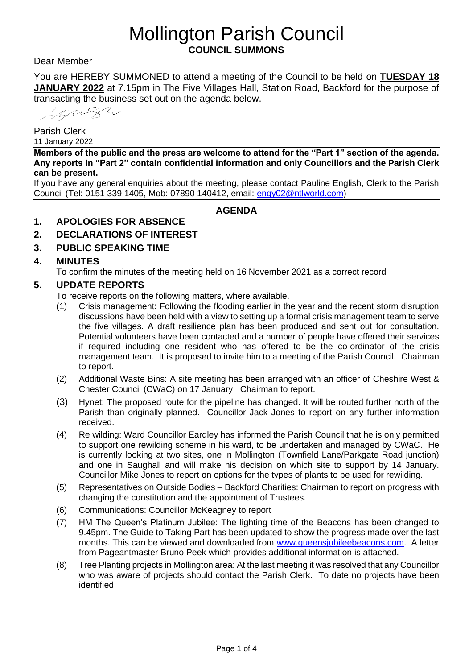# Mollington Parish Council **COUNCIL SUMMONS**

Dear Member

You are HEREBY SUMMONED to attend a meeting of the Council to be held on **TUESDAY 18 JANUARY 2022** at 7.15pm in The Five Villages Hall, Station Road, Backford for the purpose of transacting the business set out on the agenda below.

Mylight

Parish Clerk 11 January 2022

**Members of the public and the press are welcome to attend for the "Part 1" section of the agenda. Any reports in "Part 2" contain confidential information and only Councillors and the Parish Clerk can be present.**

If you have any general enquiries about the meeting, please contact Pauline English, Clerk to the Parish Council (Tel: 0151 339 1405, Mob: 07890 140412, email: [engy02@ntlworld.com\)](mailto:engy02@ntlworld.com)

**AGENDA**

### **1. APOLOGIES FOR ABSENCE**

- **2. DECLARATIONS OF INTEREST**
- **3. PUBLIC SPEAKING TIME**

### **4. MINUTES**

To confirm the minutes of the meeting held on 16 November 2021 as a correct record

### **5. UPDATE REPORTS**

To receive reports on the following matters, where available.

- (1) Crisis management: Following the flooding earlier in the year and the recent storm disruption discussions have been held with a view to setting up a formal crisis management team to serve the five villages. A draft resilience plan has been produced and sent out for consultation. Potential volunteers have been contacted and a number of people have offered their services if required including one resident who has offered to be the co-ordinator of the crisis management team. It is proposed to invite him to a meeting of the Parish Council. Chairman to report.
- (2) Additional Waste Bins: A site meeting has been arranged with an officer of Cheshire West & Chester Council (CWaC) on 17 January. Chairman to report.
- (3) Hynet: The proposed route for the pipeline has changed. It will be routed further north of the Parish than originally planned. Councillor Jack Jones to report on any further information received.
- (4) Re wilding: Ward Councillor Eardley has informed the Parish Council that he is only permitted to support one rewilding scheme in his ward, to be undertaken and managed by CWaC. He is currently looking at two sites, one in Mollington (Townfield Lane/Parkgate Road junction) and one in Saughall and will make his decision on which site to support by 14 January. Councillor Mike Jones to report on options for the types of plants to be used for rewilding.
- (5) Representatives on Outside Bodies Backford Charities: Chairman to report on progress with changing the constitution and the appointment of Trustees.
- (6) Communications: Councillor McKeagney to report
- (7) HM The Queen's Platinum Jubilee: The lighting time of the Beacons has been changed to 9.45pm. The Guide to Taking Part has been updated to show the progress made over the last months. This can be viewed and downloaded from [www.queensjubileebeacons.com.](http://www.queensjubileebeacons.com/) A letter from Pageantmaster Bruno Peek which provides additional information is attached.
- (8) Tree Planting projects in Mollington area: At the last meeting it was resolved that any Councillor who was aware of projects should contact the Parish Clerk. To date no projects have been identified.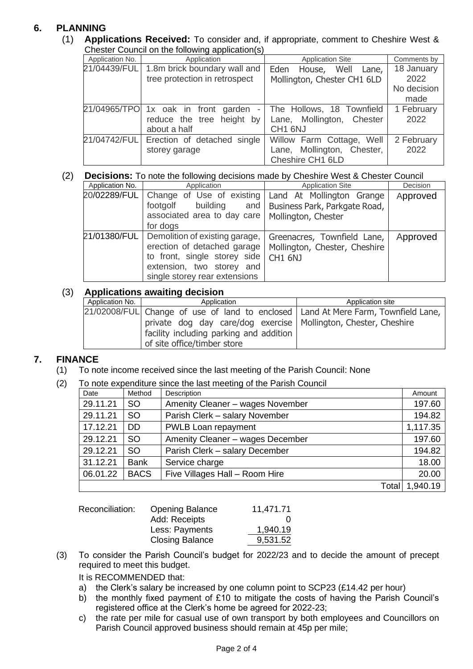# **6. PLANNING**

(1) **Applications Received:** To consider and, if appropriate, comment to Cheshire West & Chester Council on the following application(s)

| Choster Countries on the following application (9) |                                                                                                              |                                                                               |                                           |  |
|----------------------------------------------------|--------------------------------------------------------------------------------------------------------------|-------------------------------------------------------------------------------|-------------------------------------------|--|
| Application No.                                    | <b>Application Site</b><br>Application                                                                       |                                                                               | Comments by                               |  |
|                                                    | 21/04439/FUL 1.8m brick boundary wall and<br>tree protection in retrospect                                   | Eden<br>House, Well<br>Lane,<br>Mollington, Chester CH1 6LD                   | 18 January<br>2022<br>No decision<br>made |  |
|                                                    | 21/04965/TPO 1x oak in front garden<br>$\overline{\phantom{a}}$<br>reduce the tree height by<br>about a half | The Hollows, 18 Townfield<br>Lane, Mollington, Chester<br>CH <sub>1</sub> 6NJ | 1 February<br>2022                        |  |
|                                                    | 21/04742/FUL Erection of detached single<br>storey garage                                                    | Willow Farm Cottage, Well<br>Lane, Mollington, Chester,<br>Cheshire CH1 6LD   | 2 February<br>2022                        |  |

### (2) **Decisions:** To note the following decisions made by Cheshire West & Chester Council

| Application No. | Application                                                                                                                                                                | <b>Application Site</b>                                                           | <b>Decision</b> |
|-----------------|----------------------------------------------------------------------------------------------------------------------------------------------------------------------------|-----------------------------------------------------------------------------------|-----------------|
|                 | 20/02289/FUL Change of Use of existing<br>footgolf<br>building<br>and<br>associated area to day care<br>for dogs                                                           | Land At Mollington Grange<br>Business Park, Parkgate Road,<br>Mollington, Chester | Approved        |
|                 | 21/01380/FUL   Demolition of existing garage,<br>erection of detached garage<br>to front, single storey side<br>extension, two storey and<br>single storey rear extensions | Greenacres, Townfield Lane,<br>Mollington, Chester, Cheshire<br><b>CH1 6NJ</b>    | Approved        |

# (3) **Applications awaiting decision**

| Application No. | Application                                                                         | Application site |  |
|-----------------|-------------------------------------------------------------------------------------|------------------|--|
|                 | [21/02008/FUL] Change of use of land to enclosed Land At Mere Farm, Townfield Lane, |                  |  |
|                 | private dog day care/dog exercise   Mollington, Chester, Cheshire                   |                  |  |
|                 | facility including parking and addition                                             |                  |  |
|                 | of site office/timber store                                                         |                  |  |

### **7. FINANCE**

(1) To note income received since the last meeting of the Parish Council: None

### (2) To note expenditure since the last meeting of the Parish Council

| Date     | Method      | Description                      | Amount   |
|----------|-------------|----------------------------------|----------|
| 29.11.21 | <b>SO</b>   | Amenity Cleaner - wages November | 197.60   |
| 29.11.21 | <b>SO</b>   | Parish Clerk - salary November   | 194.82   |
| 17.12.21 | DD          | PWLB Loan repayment              | 1,117.35 |
| 29.12.21 | <b>SO</b>   | Amenity Cleaner - wages December | 197.60   |
| 29.12.21 | <b>SO</b>   | Parish Clerk - salary December   | 194.82   |
| 31.12.21 | <b>Bank</b> | Service charge                   | 18.00    |
| 06.01.22 | <b>BACS</b> | Five Villages Hall - Room Hire   | 20.00    |
|          |             | Total                            | 1,940.19 |

| Reconciliation: | <b>Opening Balance</b> | 11,471.71 |
|-----------------|------------------------|-----------|
|                 | Add: Receipts          |           |
|                 | Less: Payments         | 1,940.19  |
|                 | <b>Closing Balance</b> | 9,531.52  |

(3) To consider the Parish Council's budget for 2022/23 and to decide the amount of precept required to meet this budget.

It is RECOMMENDED that:

- a) the Clerk's salary be increased by one column point to SCP23 (£14.42 per hour)
- b) the monthly fixed payment of £10 to mitigate the costs of having the Parish Council's registered office at the Clerk's home be agreed for 2022-23;
- c) the rate per mile for casual use of own transport by both employees and Councillors on Parish Council approved business should remain at 45p per mile;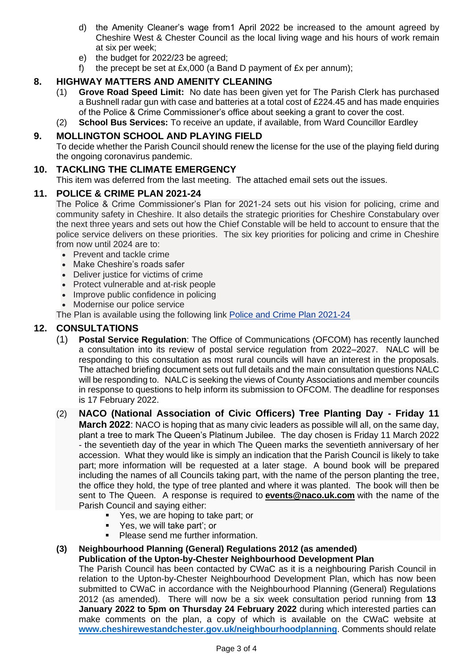- d) the Amenity Cleaner's wage from1 April 2022 be increased to the amount agreed by Cheshire West & Chester Council as the local living wage and his hours of work remain at six per week;
- e) the budget for 2022/23 be agreed;
- f) the precept be set at  $Ex.000$  (a Band D payment of  $Ex$  per annum);

# **8. HIGHWAY MATTERS AND AMENITY CLEANING**

- (1) **Grove Road Speed Limit:** No date has been given yet for The Parish Clerk has purchased a Bushnell radar gun with case and batteries at a total cost of £224.45 and has made enquiries of the Police & Crime Commissioner's office about seeking a grant to cover the cost.
- (2) **School Bus Services:** To receive an update, if available, from Ward Councillor Eardley

## **9. MOLLINGTON SCHOOL AND PLAYING FIELD**

To decide whether the Parish Council should renew the license for the use of the playing field during the ongoing coronavirus pandemic.

### **10. TACKLING THE CLIMATE EMERGENCY**

This item was deferred from the last meeting. The attached email sets out the issues.

### **11. POLICE & CRIME PLAN 2021-24**

The Police & Crime Commissioner's Plan for 2021-24 sets out his vision for policing, crime and community safety in Cheshire. It also details the strategic priorities for Cheshire Constabulary over the next three years and sets out how the Chief Constable will be held to account to ensure that the police service delivers on these priorities. The six key priorities for policing and crime in Cheshire from now until 2024 are to:

- Prevent and tackle crime
- Make Cheshire's roads safer
- Deliver justice for victims of crime
- Protect vulnerable and at-risk people
- Improve public confidence in policing
- Modernise our police service

The Plan is available using the following link Police and Crime Plan [2021-24](https://www.cheshire-pcc.gov.uk/SysSiteAssets/media/downloads/what-i-do/making-cheshire-safer/police-and-crime-plan/police-and-crime-plan-2021-24.pdf)

# **12. CONSULTATIONS**

- (1) **Postal Service Regulation**: The Office of Communications (OFCOM) has recently launched a consultation into its review of postal service regulation from 2022–2027. NALC will be responding to this consultation as most rural councils will have an interest in the proposals. The attached briefing document sets out full details and the main consultation questions NALC will be responding to. NALC is seeking the views of County Associations and member councils in response to questions to help inform its submission to OFCOM. The deadline for responses is 17 February 2022.
- (2) **NACO (National Association of Civic Officers) Tree Planting Day - Friday 11 March 2022**: NACO is hoping that as many civic leaders as possible will all, on the same day, plant a tree to mark The Queen's Platinum Jubilee. The day chosen is Friday 11 March 2022 - the seventieth day of the year in which The Queen marks the seventieth anniversary of her accession. What they would like is simply an indication that the Parish Council is likely to take part; more information will be requested at a later stage. A bound book will be prepared including the names of all Councils taking part, with the name of the person planting the tree, the office they hold, the type of tree planted and where it was planted. The book will then be sent to The Queen. A response is required to **[events@naco.uk.com](mailto:events@naco.uk.com)** with the name of the Parish Council and saying either:
	- Yes, we are hoping to take part; or
	- Yes, we will take part'; or
	- Please send me further information.

### **(3) Neighbourhood Planning (General) Regulations 2012 (as amended) Publication of the Upton-by-Chester Neighbourhood Development Plan**

The Parish Council has been contacted by CWaC as it is a neighbouring Parish Council in relation to the Upton-by-Chester Neighbourhood Development Plan, which has now been submitted to CWaC in accordance with the Neighbourhood Planning (General) Regulations 2012 (as amended). There will now be a six week consultation period running from **13 January 2022 to 5pm on Thursday 24 February 2022** during which interested parties can make comments on the plan, a copy of which is available on the CWaC website at **[www.cheshirewestandchester.gov.uk/neighbourhoodplanning](https://www.cheshirewestandchester.gov.uk/neighbourhoodplanning)**. Comments should relate